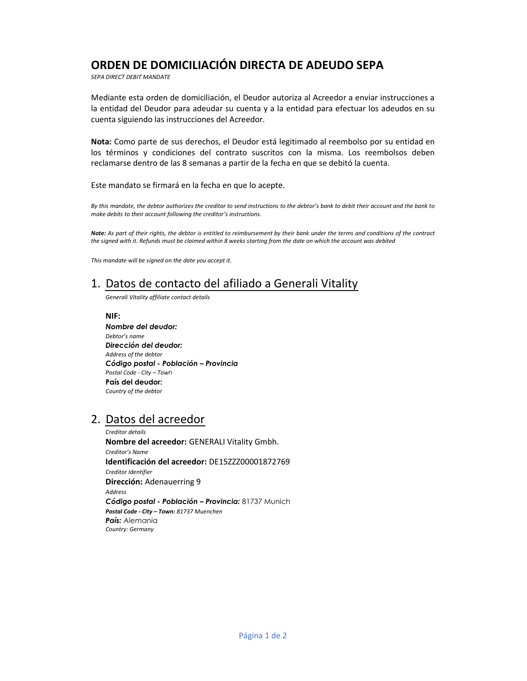## ORDEN DE DOMICILIACIÓN DIRECTA DE ADEUDO SEPA

SEPA DIRECT DEBIT MANDATE

Mediante esta orden de domiciliación, el Deudor autoriza al Acreedor a enviar instrucciones a la entidad del Deudor para adeudar su cuenta y a la entidad para efectuar los adeudos en su cuenta siguiendo las instrucciones del Acreedor.

Nota: Como parte de sus derechos, el Deudor está legitimado al reembolso por su entidad en los términos y condiciones del contrato suscritos con la misma. Los reembolsos deben reclamarse dentro de las 8 semanas a partir de la fecha en que se debitó la cuenta.

Este mandato se firmará en la fecha en que lo acepte.

By this mandate, the debtor authorizes the creditor to send instructions to the debtor's bank to debit their account and the bank to make debits to their account following the creditor's instructions.

Note: As part of their rights, the debtor is entitled to reimbursement by their bank under the terms and conditions of the contract the signed with it. Refunds must be claimed within 8 weeks starting from the date on which the account was debited

This mandate will be signed on the date you accept it.

# 1. Datos de contacto del afiliado a Generali Vitality

Generali Vitality affiliate contact details

NIF: Nombre del deudo*r*: Debtor's name Dirección del deudor: Address of the debtor Código postal - Población – Provincia Postal Code - City – Town País del deudor: Country of the debtor

### 2. Datos del acreedor

Creditor details Nombre del acreedor: GENERALI Vitality Gmbh. Creditor's Name Identificación del acreedor: DE15ZZZ00001872769 Creditor Identifier Dirección: Adenauerring 9 Address Código postal - Población – Provincia: 81737 Munich Postal Code - City – Town: 81737 Muenchen País: Alemania Country: Germany